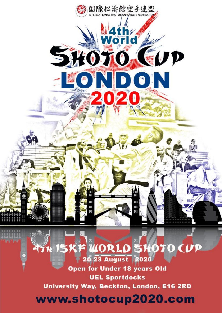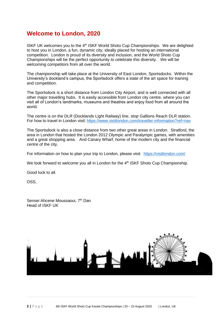## **Welcome to London, 2020**

ISKF UK welcomes you to the 4<sup>th</sup> ISKF World Shoto Cup Championships. We are delighted to host you in London, a fun, dynamic city, ideally placed for hosting an international competition. London is proud of its diversity and inclusion, and the World Shoto Cup Championships will be the perfect opportunity to celebrate this diversity. We will be welcoming competitors from all over the world.

The championship will take place at the University of East London, Sportsdocks. Within the University's dockland's campus, the Sportsdock offers a state of the art space for training and competition.

The Sportsdock is a short distance from London City Airport, and is well connected with all other major travelling hubs. It is easily accessible from London city centre, where you can visit all of London's landmarks, museums and theatres and enjoy food from all around the world.

The centre is on the DLR (Docklands Light Railway) line, stop Gallions Reach DLR station. For how to travel in London visit: <https://www.visitlondon.com/traveller-information?ref=nav>

The Sportsdock is also a close distance from two other great areas in London. Stratford, the area in London that hosted the London 2012 Olympic and Paralympic games, with amenities and a great shopping area. And Canary Wharf, home of the modern city and the financial centre of the city.

For information on how to plan your trip to London, please visit: <https://visitlondon.com/>

We look forward to welcome you all in London for the 4<sup>th</sup> ISKF Shoto Cup Championship.

Good luck to all.

OSS,

Sensei Ahcene Moussaoui, 7<sup>th</sup> Dan Head of ISKF UK

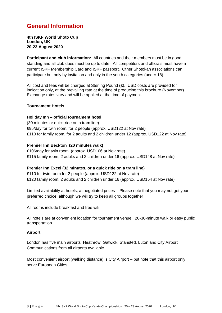# **General Information**

**4th ISKF World Shoto Cup London, UK 20-23 August 2020**

**Participant and club information:** All countries and their members must be in good standing and all club dues must be up to date. All competitors and officials must have a current ISKF Membership Card and ISKF passport. Other Shotokan associations can participate but only by invitation and only in the youth categories (under 18).

All cost and fees will be charged at Sterling Pound  $(E)$ . USD costs are provided for indication only, at the prevailing rate at the time of producing this brochure (November). Exchange rates vary and will be applied at the time of payment.

#### **Tournament Hotels**

#### **Holiday Inn – official tournament hotel**

(30 minutes or quick ride on a tram line) £95/day for twin room, for 2 people (approx. USD122 at Nov rate) £110 for family room, for 2 adults and 2 children under 12 (approx. USD122 at Nov rate)

#### **Premier Inn Beckton (20 minutes walk)**

£106/day for twin room (approx. USD106 at Nov rate) £115 family room, 2 adults and 2 children under 16 (approx. USD148 at Nov rate)

#### **Premier Inn Excel (32 minutes, or a quick ride on a tram line)**

£110 for twin room for 2 people (approx. USD122 at Nov rate) £120 family room, 2 adults and 2 children under 16 (approx. USD154 at Nov rate)

Limited availability at hotels, at negotiated prices – Please note that you may not get your preferred choice, although we will try to keep all groups together

All rooms include breakfast and free wifi

All hotels are at convenient location for tournament venue. 20-30-minute walk or easy public transportation

#### **Airport**

London has five main airports, Heathrow, Gatwick, Stansted, Luton and City Airport Communications from all airports available

Most convenient airport (walking distance) is City Airport – but note that this airport only serve European Cities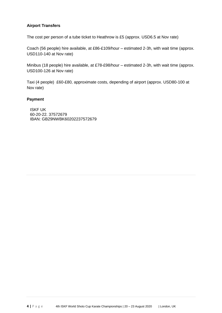### **Airport Transfers**

The cost per person of a tube ticket to Heathrow is £5 (approx. USD6.5 at Nov rate)

Coach (56 people) hire available, at £86-£109/hour – estimated 2-3h, with wait time (approx. USD110-140 at Nov rate)

Minibus (18 people) hire available, at £78-£98/hour – estimated 2-3h, with wait time (approx. USD100-126 at Nov rate)

Taxi (4 people) £60-£80, approximate costs, depending of airport (approx. USD80-100 at Nov rate)

#### **Payment**

ISKF UK 60-20-22. 37572679 IBAN: GB29NWBK60202237572679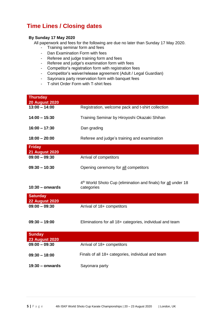# **Time Lines / Closing dates**

#### **By Sunday 17 May 2020**

All paperwork and fees for the following are due no later than Sunday 17 May 2020.

- Training seminar form and fees
- Dan Examination Form with fees
- Referee and judge training form and fees
- Referee and judge's examination form with fees
- Competitor's registration form with registration fees
- Competitor's waiver/release agreement (Adult / Legal Guardian)
- Sayonara party reservation form with banquet fees
- T-shirt Order Form with T-shirt fees

| <b>Thursday</b><br><b>20 August 2020</b> |                                                                                         |
|------------------------------------------|-----------------------------------------------------------------------------------------|
| $13:00 - 14:00$                          | Registration, welcome pack and t-shirt collection                                       |
| $14:00 - 15:30$                          | Training Seminar by Hiroyoshi Okazaki Shihan                                            |
| $16:00 - 17:30$                          | Dan grading                                                                             |
| $18:00 - 20:00$                          | Referee and judge's training and examination                                            |
| <b>Friday</b><br><b>21 August 2020</b>   |                                                                                         |
| $09:00 - 09:30$                          | Arrival of competitors                                                                  |
| $09:30 - 10:30$                          | Opening ceremony for all competitors                                                    |
| $10:30 -$ onwards                        | 4 <sup>th</sup> World Shoto Cup (elimination and finals) for all under 18<br>categories |
| <b>Saturday</b><br><b>22 August 2020</b> |                                                                                         |
| $09:00 - 09:30$                          | Arrival of 18+ competitors                                                              |
| $09:30 - 19:00$                          | Eliminations for all 18+ categories, individual and team                                |
| <b>Sunday</b><br><b>23 August 2020</b>   |                                                                                         |
| $09:00 - 09:30$                          | Arrival of 18+ competitors                                                              |
| $09:30 - 18:00$                          | Finals of all 18+ categories, individual and team                                       |
| $19:30 -$ onwards                        | Sayonara party                                                                          |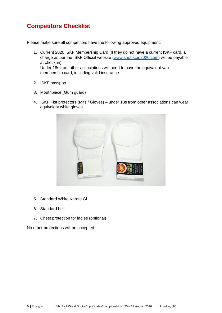# **Competitors Checklist**

Please make sure all competitors have the following approved equipment:

- 1. Current 2020 ISKF Membership Card (If they do not have a current ISKF card, a charge as per the ISKF Official website [\(www.shotocup2020.com\) w](http://www.iskf.com/)ill be payable at check-in) Under 18s from other associations will need to have the equivalent valid membership card, including valid insurance
- 2. ISKF passport
- 3. Mouthpiece (Gum guard)
- 4. ISKF Fist protectors (Mits / Gloves) under 18s from other associations can wear equivalent white gloves



- 5. Standard White Karate Gi
- 6. Standard belt
- 7. Chest protection for ladies (optional)

No other protections will be accepted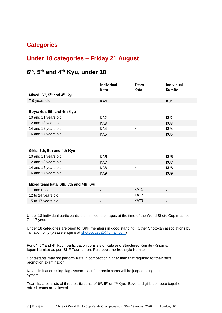## **Categories**

### **Under 18 categories – Friday 21 August**

### **6 th, 5th and 4th Kyu, under 18**

|                                                                  | Individual<br>Kata       | Team<br>Kata      | <b>Individual</b><br><b>Kumite</b> |
|------------------------------------------------------------------|--------------------------|-------------------|------------------------------------|
| Mixed: 6 <sup>th</sup> , 5 <sup>th</sup> and 4 <sup>th</sup> Kyu |                          |                   |                                    |
| 7-9 years old                                                    | KA1                      |                   | KU1                                |
|                                                                  |                          |                   |                                    |
| Boys: 6th, 5th and 4th Kyu                                       |                          |                   |                                    |
| 10 and 11 years old                                              | KA <sub>2</sub>          |                   | KU <sub>2</sub>                    |
| 12 and 13 years old                                              | KA3                      |                   | KU3                                |
| 14 and 15 years old                                              | KA4                      | $\qquad \qquad -$ | KU4                                |
| 16 and 17 years old                                              | KA5                      |                   | KU5                                |
|                                                                  |                          |                   |                                    |
|                                                                  |                          |                   |                                    |
| Girls: 6th, 5th and 4th Kyu                                      |                          |                   |                                    |
| 10 and 11 years old                                              | KA6                      |                   | KU6                                |
| 12 and 13 years old                                              | KA7                      |                   | KU7                                |
| 14 and 15 years old                                              | KA8                      | -                 | KU8                                |
| 16 and 17 years old                                              | KA9                      |                   | KU <sub>9</sub>                    |
|                                                                  |                          |                   |                                    |
| Mixed team kata, 6th, 5th and 4th Kyu                            |                          |                   |                                    |
| 11 and under                                                     | $\overline{\phantom{a}}$ | KAT1              |                                    |
| 12 to 14 years old                                               |                          | KAT2              |                                    |
| 15 to 17 years old                                               |                          | KAT3              |                                    |

Under 18 individual participants is unlimited, their ages at the time of the World Shoto Cup must be  $7 - 17$  years.

Under 18 categories are open to ISKF members in good standing. Other Shotokan associations by invitation only (please enquire at [shotocup2020@gmail.com\)](mailto:shotocup2020@gmail.com)

For 6<sup>th</sup>, 5<sup>th</sup> and 4<sup>th</sup> Kyu: participation consists of Kata and Structured Kumite (Kihon & Ippon Kumite) as per ISKF Tournament Rule book, no free style Kumite.

Contestants may not perform Kata in competition higher than that required for their next promotion examination.

Kata elimination using flag system. Last four participants will be judged using point system

Team kata consists of three participants of  $6<sup>th</sup>$ ,  $5<sup>th</sup>$  or  $4<sup>th</sup>$  Kyu. Boys and girls compete together, mixed teams are allowed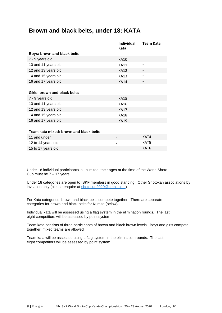### **Brown and black belts, under 18: KATA**

|                                        | <b>Individual</b><br>Kata | <b>Team Kata</b> |
|----------------------------------------|---------------------------|------------------|
| <b>Boys: brown and black belts</b>     |                           |                  |
| 7 - 9 years old                        | KA10                      |                  |
| 10 and 11 years old                    | <b>KA11</b>               |                  |
| 12 and 13 years old                    | <b>KA12</b>               |                  |
| 14 and 15 years old                    | <b>KA13</b>               |                  |
| 16 and 17 years old                    | <b>KA14</b>               |                  |
|                                        |                           |                  |
| <b>Girls: brown and black belts</b>    |                           |                  |
| 7 - 9 years old                        | <b>KA15</b>               |                  |
| 10 and 11 years old                    | <b>KA16</b>               |                  |
| 12 and 13 years old                    | <b>KA17</b>               |                  |
| 14 and 15 years old                    | <b>KA18</b>               |                  |
| 16 and 17 years old                    | <b>KA19</b>               |                  |
|                                        |                           |                  |
| Team kata mixed: brown and black belts |                           |                  |
| 11 and under                           |                           | KAT4             |
| 12 to 14 years old                     |                           | KAT5             |

Under 18 individual participants is unlimited, their ages at the time of the World Shoto Cup must be  $7 - 17$  years.

15 to 17 years old **KAT6** 

Under 18 categories are open to ISKF members in good standing. Other Shotokan associations by invitation only (please enquire at [shotocup2020@gmail.com\)](mailto:shotocup2020@gmail.com)

For Kata categories, brown and black belts compete together. There are separate categories for brown and black belts for Kumite (below)

Individual kata will be assessed using a flag system in the elimination rounds. The last eight competitors will be assessed by point system

Team kata consists of three participants of brown and black brown levels. Boys and girls compete together, mixed teams are allowed

Team kata will be assessed using a flag system in the elimination rounds. The last eight competitors will be assessed by point system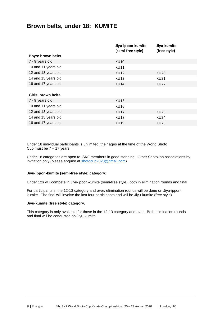### **Brown belts, under 18: KUMITE**

|                          | Jiyu-ippon-kumite<br>(semi-free style) | Jiyu-kumite<br>(free style) |
|--------------------------|----------------------------------------|-----------------------------|
| <b>Boys: brown belts</b> |                                        |                             |
| 7 - 9 years old          | <b>KU10</b>                            |                             |
| 10 and 11 years old      | <b>KU11</b>                            |                             |
| 12 and 13 years old      | KU12                                   | KU20                        |
| 14 and 15 years old      | <b>KU13</b>                            | KU21                        |
| 16 and 17 years old      | <b>KU14</b>                            | KU22                        |
|                          |                                        |                             |
| Girls: brown belts       |                                        |                             |
| 7 - 9 years old          | <b>KU15</b>                            |                             |
| 10 and 11 years old      | <b>KU16</b>                            |                             |
| 12 and 13 years old      | <b>KU17</b>                            | KU23                        |
| 14 and 15 years old      | <b>KU18</b>                            | <b>KU24</b>                 |
| 16 and 17 years old      | <b>KU19</b>                            | <b>KU25</b>                 |

Under 18 individual participants is unlimited, their ages at the time of the World Shoto Cup must be  $7 - 17$  years.

Under 18 categories are open to ISKF members in good standing. Other Shotokan associations by invitation only (please enquire at [shotocup2020@gmail.com\)](mailto:shotocup2020@gmail.com)

#### **Jiyu-ippon-kumite (semi-free style) category:**

Under 12s will compete in Jiyu-ippon-kumite (semi-free style), both in elimination rounds and final

For participants in the 12-13 category and over, elimination rounds will be done on Jiyu-ipponkumite. The final will involve the last four participants and will be Jiyu-kumite (free style)

#### **Jiyu-kumite (free style) category:**

This category is only available for those in the 12-13 category and over. Both elimination rounds and final will be conducted on Jiyu-kumite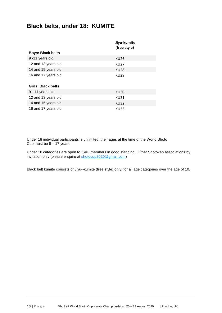## **Black belts, under 18: KUMITE**

|                          | Jiyu-kumite<br>(free style) |
|--------------------------|-----------------------------|
| <b>Boys: Black belts</b> |                             |
| 9-11 years old           | KU26                        |
| 12 and 13 years old      | <b>KU27</b>                 |
| 14 and 15 years old      | <b>KU28</b>                 |
| 16 and 17 years old      | KU29                        |
| Girls: Black belts       |                             |
| 9 - 11 years old         | <b>KU30</b>                 |
| 12 and 13 years old      | KU31                        |
| 14 and 15 years old      | <b>KU32</b>                 |
| 16 and 17 years old      | <b>KU33</b>                 |

Under 18 individual participants is unlimited, their ages at the time of the World Shoto Cup must be  $9 - 17$  years.

Under 18 categories are open to ISKF members in good standing. Other Shotokan associations by invitation only (please enquire at [shotocup2020@gmail.com\)](mailto:shotocup2020@gmail.com)

Black belt kumite consists of Jiyu--kumite (free style) only, for all age categories over the age of 10.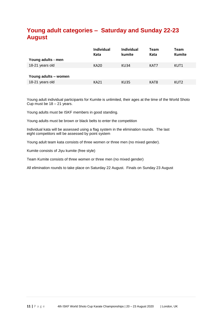# **Young adult categories – Saturday and Sunday 22-23 August**

| Young adults - men   | <b>Individual</b><br>Kata | Individual<br>kumite | <b>Team</b><br>Kata | <b>Team</b><br><b>Kumite</b> |
|----------------------|---------------------------|----------------------|---------------------|------------------------------|
| 18-21 years old      | <b>KA20</b>               | <b>KU34</b>          | KAT7                | KUT1                         |
|                      |                           |                      |                     |                              |
|                      |                           |                      |                     |                              |
| Young adults - women |                           |                      |                     |                              |
| 18-21 years old      | KA21                      | <b>KU35</b>          | KAT8                | KUT <sub>2</sub>             |
|                      |                           |                      |                     |                              |

Young adult individual participants for Kumite is unlimited, their ages at the time of the World Shoto Cup must be  $18 - 21$  years.

Young adults must be ISKF members in good standing.

Young adults must be brown or black belts to enter the competition

Individual kata will be assessed using a flag system in the elimination rounds. The last eight competitors will be assessed by point system

Young adult team kata consists of three women or three men (no mixed gender).

Kumite consists of Jiyu kumite (free style)

Team Kumite consists of three women or three men (no mixed gender)

All elimination rounds to take place on Saturday 22 August. Finals on Sunday 23 August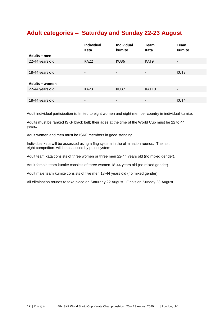# **Adult categories – Saturday and Sunday 22-23 August**

|                 | <b>Individual</b><br>Kata | <b>Individual</b><br>kumite | <b>Team</b><br>Kata      | <b>Team</b><br><b>Kumite</b> |
|-----------------|---------------------------|-----------------------------|--------------------------|------------------------------|
| Adults - men    |                           |                             |                          |                              |
| 22-44 years old | <b>KA22</b>               | <b>KU36</b>                 | KAT9                     | $\overline{\phantom{a}}$     |
|                 |                           |                             |                          | $\overline{\phantom{0}}$     |
| 18-44 years old | $\overline{\phantom{a}}$  | $\overline{\phantom{a}}$    | $\overline{\phantom{a}}$ | KUT3                         |
|                 |                           |                             |                          |                              |
| Adults - women  |                           |                             |                          |                              |
| 22-44 years old | <b>KA23</b>               | <b>KU37</b>                 | KAT10                    | $\overline{\phantom{a}}$     |
|                 |                           |                             |                          |                              |
| 18-44 years old | $\overline{\phantom{a}}$  | $\overline{\phantom{a}}$    | $\overline{a}$           | KUT4                         |

Adult individual participation is limited to eight women and eight men per country in individual kumite.

Adults must be ranked ISKF black belt; their ages at the time of the World Cup must be 22 to 44 years.

Adult women and men must be ISKF members in good standing.

Individual kata will be assessed using a flag system in the elimination rounds. The last eight competitors will be assessed by point system

Adult team kata consists of three women or three men 22-44 years old (no mixed gender).

Adult female team kumite consists of three women 18-44 years old (no mixed gender).

Adult male team kumite consists of five men 18-44 years old (no mixed gender).

All elimination rounds to take place on Saturday 22 August. Finals on Sunday 23 August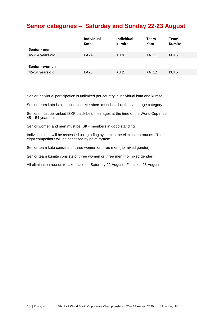## **Senior categories – Saturday and Sunday 22-23 August**

|                  | Individual<br>Kata | <b>Individual</b><br>kumite | <b>Team</b><br>Kata | Team<br><b>Kumite</b> |
|------------------|--------------------|-----------------------------|---------------------|-----------------------|
| Senior - men     |                    |                             |                     |                       |
| 45 -54 years old | <b>KA24</b>        | KU38                        | KAT11               | KUT5                  |
|                  |                    |                             |                     |                       |
| Senior - women   |                    |                             |                     |                       |
| 45-54 years old  | <b>KA25</b>        | <b>KU39</b>                 | KAT12               | KUT6                  |
|                  |                    |                             |                     |                       |

Senior individual participation is unlimited per country in individual kata and kumite.

Senior team kata is also unlimited. Members must be all of the same age category.

Seniors must be ranked ISKF black belt; their ages at the time of the World Cup must 45 – 54 years old.

Senior women and men must be ISKF members in good standing.

Individual kata will be assessed using a flag system in the elimination rounds. The last eight competitors will be assessed by point system

Senior team kata consists of three women or three men (no mixed gender).

Senior team kumite consists of three women or three men (no mixed gender).

All elimination rounds to take place on Saturday 22 August. Finals on 23 August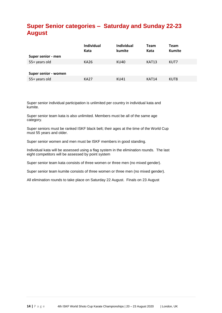# **Super Senior categories – Saturday and Sunday 22-23 August**

|                      | <b>Individual</b><br>Kata | <b>Individual</b><br>kumite | <b>Team</b><br>Kata | <b>Team</b><br><b>Kumite</b> |
|----------------------|---------------------------|-----------------------------|---------------------|------------------------------|
| Super senior - men   |                           |                             |                     |                              |
| 55+ years old        | KA26                      | KU40                        | KAT13               | KUT7                         |
|                      |                           |                             |                     |                              |
| Super senior - women |                           |                             |                     |                              |
| 55+ years old        | <b>KA27</b>               | KU41                        | KAT14               | KUT8                         |
|                      |                           |                             |                     |                              |

Super senior individual participation is unlimited per country in individual kata and kumite.

Super senior team kata is also unlimited. Members must be all of the same age category.

Super seniors must be ranked ISKF black belt; their ages at the time of the World Cup must 55 years and older.

Super senior women and men must be ISKF members in good standing.

Individual kata will be assessed using a flag system in the elimination rounds. The last eight competitors will be assessed by point system

Super senior team kata consists of three women or three men (no mixed gender).

Super senior team kumite consists of three women or three men (no mixed gender).

All elimination rounds to take place on Saturday 22 August. Finals on 23 August